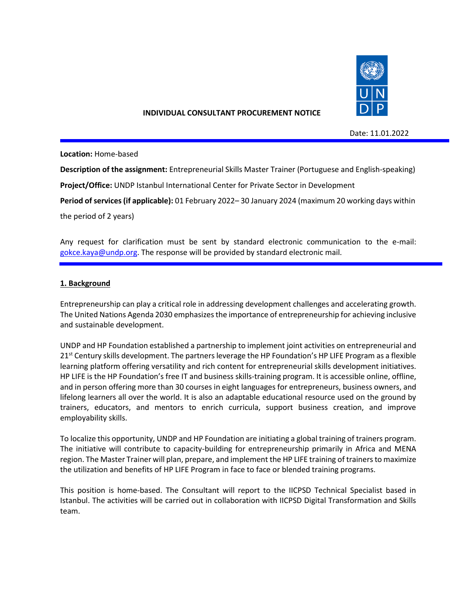

#### **INDIVIDUAL CONSULTANT PROCUREMENT NOTICE**

Date: 11.01.2022

**Location:** Home-based

**Description of the assignment:** Entrepreneurial Skills Master Trainer (Portuguese and English-speaking)

**Project/Office:** UNDP Istanbul International Center for Private Sector in Development

**Period of services (if applicable):** 01 February 2022– 30 January 2024 (maximum 20 working days within

the period of 2 years)

Any request for clarification must be sent by standard electronic communication to the e-mail[:](mailto:%20gokce.kaya@undp.org) [gokce.kaya@undp.org.](mailto:%20gokce.kaya@undp.org) The response will be provided by standard electronic mail.

#### **1. Background**

Entrepreneurship can play a critical role in addressing development challenges and accelerating growth. The United Nations Agenda 2030 emphasizes the importance of entrepreneurship for achieving inclusive and sustainable development.

UNDP and HP Foundation established a partnership to implement joint activities on entrepreneurial and 21<sup>st</sup> Century skills development. The partners leverage the HP Foundation's HP LIFE Program as a flexible learning platform offering versatility and rich content for entrepreneurial skills development initiatives. HP LIFE is the HP Foundation's free IT and business skills-training program. It is accessible online, offline, and in person offering more than 30 courses in eight languages for entrepreneurs, business owners, and lifelong learners all over the world. It is also an adaptable educational resource used on the ground by trainers, educators, and mentors to enrich curricula, support business creation, and improve employability skills.

To localize this opportunity, UNDP and HP Foundation are initiating a global training of trainers program. The initiative will contribute to capacity-building for entrepreneurship primarily in Africa and MENA region. The Master Trainer will plan, prepare, and implement the HP LIFE training of trainersto maximize the utilization and benefits of HP LIFE Program in face to face or blended training programs.

This position is home-based. The Consultant will report to the IICPSD Technical Specialist based in Istanbul. The activities will be carried out in collaboration with IICPSD Digital Transformation and Skills team.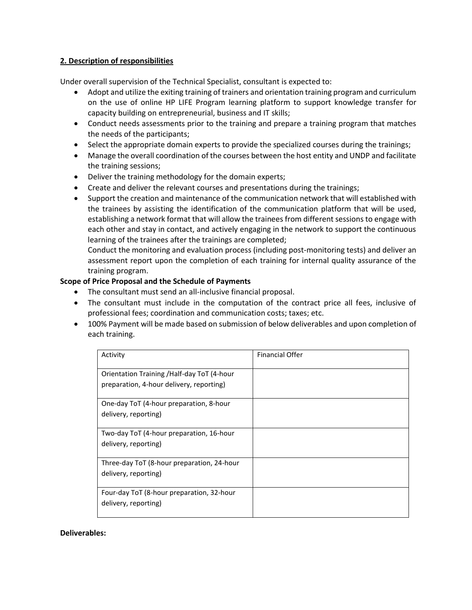### **2. Description of responsibilities**

Under overall supervision of the Technical Specialist, consultant is expected to:

- Adopt and utilize the exiting training of trainers and orientation training program and curriculum on the use of online HP LIFE Program learning platform to support knowledge transfer for capacity building on entrepreneurial, business and IT skills;
- Conduct needs assessments prior to the training and prepare a training program that matches the needs of the participants;
- Select the appropriate domain experts to provide the specialized courses during the trainings;
- Manage the overall coordination of the courses between the host entity and UNDP and facilitate the training sessions;
- Deliver the training methodology for the domain experts;
- Create and deliver the relevant courses and presentations during the trainings;
- Support the creation and maintenance of the communication network that will established with the trainees by assisting the identification of the communication platform that will be used, establishing a network format that will allow the trainees from different sessions to engage with each other and stay in contact, and actively engaging in the network to support the continuous learning of the trainees after the trainings are completed;

Conduct the monitoring and evaluation process (including post-monitoring tests) and deliver an assessment report upon the completion of each training for internal quality assurance of the training program.

## **Scope of Price Proposal and the Schedule of Payments**

- The consultant must send an all-inclusive financial proposal.
- The consultant must include in the computation of the contract price all fees, inclusive of professional fees; coordination and communication costs; taxes; etc.
- 100% Payment will be made based on submission of below deliverables and upon completion of each training.

| Activity                                                                                | <b>Financial Offer</b> |
|-----------------------------------------------------------------------------------------|------------------------|
| Orientation Training / Half-day ToT (4-hour<br>preparation, 4-hour delivery, reporting) |                        |
| One-day ToT (4-hour preparation, 8-hour<br>delivery, reporting)                         |                        |
| Two-day ToT (4-hour preparation, 16-hour<br>delivery, reporting)                        |                        |
| Three-day ToT (8-hour preparation, 24-hour<br>delivery, reporting)                      |                        |
| Four-day ToT (8-hour preparation, 32-hour<br>delivery, reporting)                       |                        |

#### **Deliverables:**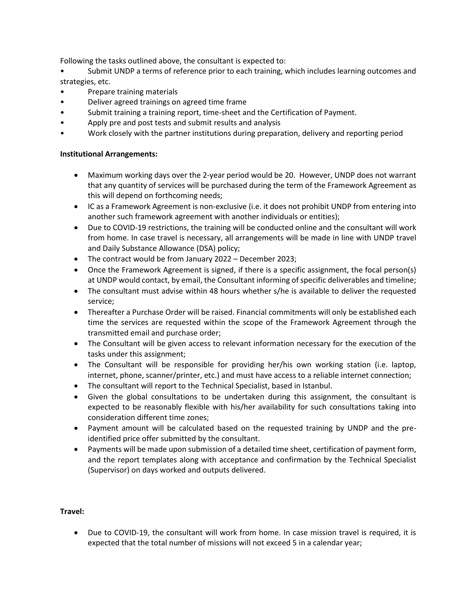Following the tasks outlined above, the consultant is expected to:

• Submit UNDP a terms of reference prior to each training, which includes learning outcomes and strategies, etc.

- Prepare training materials
- Deliver agreed trainings on agreed time frame
- Submit training a training report, time-sheet and the Certification of Payment.
- Apply pre and post tests and submit results and analysis
- Work closely with the partner institutions during preparation, delivery and reporting period

## **Institutional Arrangements:**

- Maximum working days over the 2-year period would be 20. However, UNDP does not warrant that any quantity of services will be purchased during the term of the Framework Agreement as this will depend on forthcoming needs;
- IC as a Framework Agreement is non-exclusive (i.e. it does not prohibit UNDP from entering into another such framework agreement with another individuals or entities);
- Due to COVID-19 restrictions, the training will be conducted online and the consultant will work from home. In case travel is necessary, all arrangements will be made in line with UNDP travel and Daily Substance Allowance (DSA) policy;
- The contract would be from January 2022 December 2023;
- Once the Framework Agreement is signed, if there is a specific assignment, the focal person(s) at UNDP would contact, by email, the Consultant informing of specific deliverables and timeline;
- The consultant must advise within 48 hours whether s/he is available to deliver the requested service;
- Thereafter a Purchase Order will be raised. Financial commitments will only be established each time the services are requested within the scope of the Framework Agreement through the transmitted email and purchase order;
- The Consultant will be given access to relevant information necessary for the execution of the tasks under this assignment;
- The Consultant will be responsible for providing her/his own working station (i.e. laptop, internet, phone, scanner/printer, etc.) and must have access to a reliable internet connection;
- The consultant will report to the Technical Specialist, based in Istanbul.
- Given the global consultations to be undertaken during this assignment, the consultant is expected to be reasonably flexible with his/her availability for such consultations taking into consideration different time zones;
- Payment amount will be calculated based on the requested training by UNDP and the preidentified price offer submitted by the consultant.
- Payments will be made upon submission of a detailed time sheet, certification of payment form, and the report templates along with acceptance and confirmation by the Technical Specialist (Supervisor) on days worked and outputs delivered.

#### **Travel:**

• Due to COVID-19, the consultant will work from home. In case mission travel is required, it is expected that the total number of missions will not exceed 5 in a calendar year;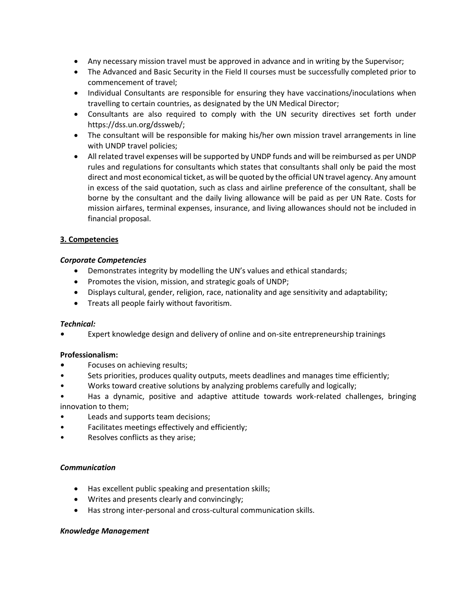- Any necessary mission travel must be approved in advance and in writing by the Supervisor;
- The Advanced and Basic Security in the Field II courses must be successfully completed prior to commencement of travel;
- Individual Consultants are responsible for ensuring they have vaccinations/inoculations when travelling to certain countries, as designated by the UN Medical Director;
- Consultants are also required to comply with the UN security directives set forth under https://dss.un.org/dssweb/;
- The consultant will be responsible for making his/her own mission travel arrangements in line with UNDP travel policies;
- All related travel expenses will be supported by UNDP funds and will be reimbursed as per UNDP rules and regulations for consultants which states that consultants shall only be paid the most direct and most economical ticket, as will be quoted by the official UN travel agency. Any amount in excess of the said quotation, such as class and airline preference of the consultant, shall be borne by the consultant and the daily living allowance will be paid as per UN Rate. Costs for mission airfares, terminal expenses, insurance, and living allowances should not be included in financial proposal.

## **3. Competencies**

#### *Corporate Competencies*

- Demonstrates integrity by modelling the UN's values and ethical standards;
- Promotes the vision, mission, and strategic goals of UNDP;
- Displays cultural, gender, religion, race, nationality and age sensitivity and adaptability;
- Treats all people fairly without favoritism.

#### *Technical:*

*•* Expert knowledge design and delivery of online and on-site entrepreneurship trainings

#### **Professionalism:**

- *•* Focuses on achieving results;
- Sets priorities, produces quality outputs, meets deadlines and manages time efficiently;
- Works toward creative solutions by analyzing problems carefully and logically;
- Has a dynamic, positive and adaptive attitude towards work-related challenges, bringing innovation to them;
- Leads and supports team decisions;
- Facilitates meetings effectively and efficiently;
- Resolves conflicts as they arise;

#### *Communication*

- Has excellent public speaking and presentation skills;
- Writes and presents clearly and convincingly;
- Has strong inter-personal and cross-cultural communication skills.

#### *Knowledge Management*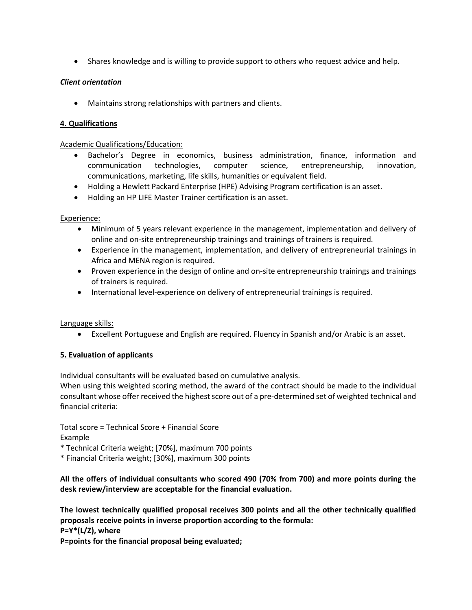• Shares knowledge and is willing to provide support to others who request advice and help.

## *Client orientation*

• Maintains strong relationships with partners and clients.

### **4. Qualifications**

Academic Qualifications/Education:

- Bachelor's Degree in economics, business administration, finance, information and communication technologies, computer science, entrepreneurship, innovation, communications, marketing, life skills, humanities or equivalent field.
- Holding a Hewlett Packard Enterprise (HPE) Advising Program certification is an asset.
- Holding an HP LIFE Master Trainer certification is an asset.

#### Experience:

- Minimum of 5 years relevant experience in the management, implementation and delivery of online and on-site entrepreneurship trainings and trainings of trainers is required.
- Experience in the management, implementation, and delivery of entrepreneurial trainings in Africa and MENA region is required.
- Proven experience in the design of online and on-site entrepreneurship trainings and trainings of trainers is required.
- International level-experience on delivery of entrepreneurial trainings is required.

# Language skills:

• Excellent Portuguese and English are required. Fluency in Spanish and/or Arabic is an asset.

# **5. Evaluation of applicants**

Individual consultants will be evaluated based on cumulative analysis.

When using this weighted scoring method, the award of the contract should be made to the individual consultant whose offer received the highest score out of a pre-determined set of weighted technical and financial criteria:

Total score = Technical Score + Financial Score Example

\* Technical Criteria weight; [70%], maximum 700 points

\* Financial Criteria weight; [30%], maximum 300 points

# **All the offers of individual consultants who scored 490 (70% from 700) and more points during the desk review/interview are acceptable for the financial evaluation.**

**The lowest technically qualified proposal receives 300 points and all the other technically qualified proposals receive points in inverse proportion according to the formula: P=Y\*(L/Z), where**

**P=points for the financial proposal being evaluated;**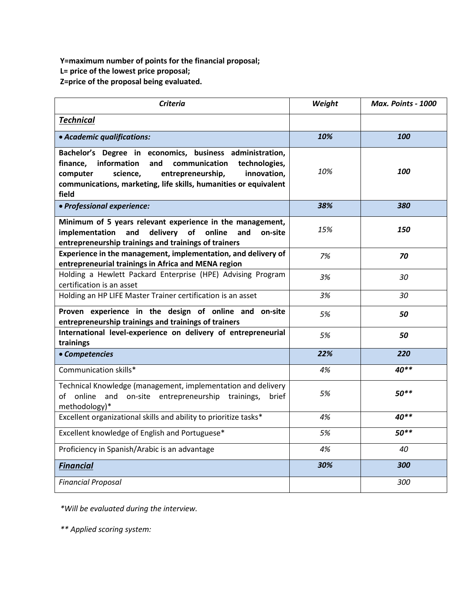**Y=maximum number of points for the financial proposal;**

**L= price of the lowest price proposal;**

**Z=price of the proposal being evaluated.**

| <b>Criteria</b>                                                                                                                                                                                                                                                       | Weight | <b>Max. Points - 1000</b> |
|-----------------------------------------------------------------------------------------------------------------------------------------------------------------------------------------------------------------------------------------------------------------------|--------|---------------------------|
| <b>Technical</b>                                                                                                                                                                                                                                                      |        |                           |
| • Academic qualifications:                                                                                                                                                                                                                                            | 10%    | 100                       |
| Bachelor's Degree in economics, business administration,<br>information<br>communication<br>finance.<br>and<br>technologies,<br>science,<br>entrepreneurship,<br>innovation,<br>computer<br>communications, marketing, life skills, humanities or equivalent<br>field | 10%    | 100                       |
| • Professional experience:                                                                                                                                                                                                                                            | 38%    | 380                       |
| Minimum of 5 years relevant experience in the management,<br>delivery<br>of<br>online<br>implementation<br>and<br>and<br>on-site<br>entrepreneurship trainings and trainings of trainers                                                                              | 15%    | 150                       |
| Experience in the management, implementation, and delivery of<br>entrepreneurial trainings in Africa and MENA region                                                                                                                                                  | 7%     | 70                        |
| Holding a Hewlett Packard Enterprise (HPE) Advising Program<br>certification is an asset                                                                                                                                                                              | 3%     | 30                        |
| Holding an HP LIFE Master Trainer certification is an asset                                                                                                                                                                                                           | 3%     | 30                        |
| Proven experience in the design of online and on-site<br>entrepreneurship trainings and trainings of trainers                                                                                                                                                         | 5%     | 50                        |
| International level-experience on delivery of entrepreneurial<br>trainings                                                                                                                                                                                            | 5%     | 50                        |
| • Competencies                                                                                                                                                                                                                                                        | 22%    | 220                       |
| Communication skills*                                                                                                                                                                                                                                                 | 4%     | $40**$                    |
| Technical Knowledge (management, implementation and delivery<br>of online and on-site entrepreneurship trainings,<br>brief<br>methodology)*                                                                                                                           | 5%     | 50**                      |
| Excellent organizational skills and ability to prioritize tasks*                                                                                                                                                                                                      | 4%     | 40**                      |
| Excellent knowledge of English and Portuguese*                                                                                                                                                                                                                        | 5%     | 50**                      |
| Proficiency in Spanish/Arabic is an advantage                                                                                                                                                                                                                         | 4%     | 40                        |
| <b>Financial</b>                                                                                                                                                                                                                                                      | 30%    | 300                       |
| <b>Financial Proposal</b>                                                                                                                                                                                                                                             |        | 300                       |

*\*Will be evaluated during the interview.*

*\*\* Applied scoring system:*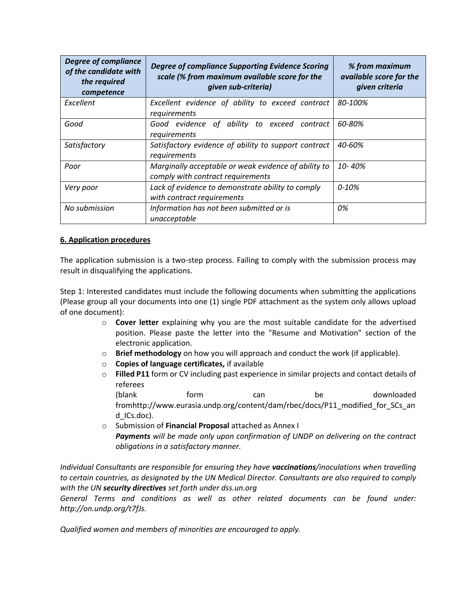| <b>Degree of compliance</b><br>of the candidate with<br>the required<br>competence | <b>Degree of compliance Supporting Evidence Scoring</b><br>scale (% from maximum available score for the<br>given sub-criteria) | % from maximum<br>available score for the<br>given criteria |
|------------------------------------------------------------------------------------|---------------------------------------------------------------------------------------------------------------------------------|-------------------------------------------------------------|
| Excellent                                                                          | Excellent evidence of ability to exceed contract<br>requirements                                                                | 80-100%                                                     |
| Good                                                                               | Good evidence of ability to exceed contract<br>requirements                                                                     | 60-80%                                                      |
| Satisfactory                                                                       | Satisfactory evidence of ability to support contract<br>requirements                                                            | 40-60%                                                      |
| Poor                                                                               | Marginally acceptable or weak evidence of ability to<br>comply with contract requirements                                       | 10-40%                                                      |
| Very poor                                                                          | Lack of evidence to demonstrate ability to comply<br>with contract requirements                                                 | $0 - 10%$                                                   |
| No submission                                                                      | Information has not been submitted or is<br>unacceptable                                                                        | 0%                                                          |

## **6. Application procedures**

The application submission is a two-step process. Failing to comply with the submission process may result in disqualifying the applications.

Step 1: Interested candidates must include the following documents when submitting the applications (Please group all your documents into one (1) single PDF attachment as the system only allows upload of one document):

- o **Cover letter** explaining why you are the most suitable candidate for the advertised position. Please paste the letter into the "Resume and Motivation" section of the electronic application.
- o **Brief methodology** on how you will approach and conduct the work (if applicable).
- o **Copies of language certificates,** if available
- o **Filled P11** form or CV including past experience in similar projects and contact details of referees

(blank form can be downloaded fromhttp://www.eurasia.undp.org/content/dam/rbec/docs/P11\_modified\_for\_SCs\_an d\_ICs.doc).

o Submission of **Financial Proposal** attached as Annex I *Payments will be made only upon confirmation of UNDP on delivering on the contract obligations in a satisfactory manner.* 

*Individual Consultants are responsible for ensuring they have vaccinations/inoculations when travelling to certain countries, as designated by the UN Medical Director. Consultants are also required to comply with the UN security directives set forth under dss.un.org*

*General Terms and conditions as well as other related documents can be found under: http://on.undp.org/t7fJs.*

*Qualified women and members of minorities are encouraged to apply.*